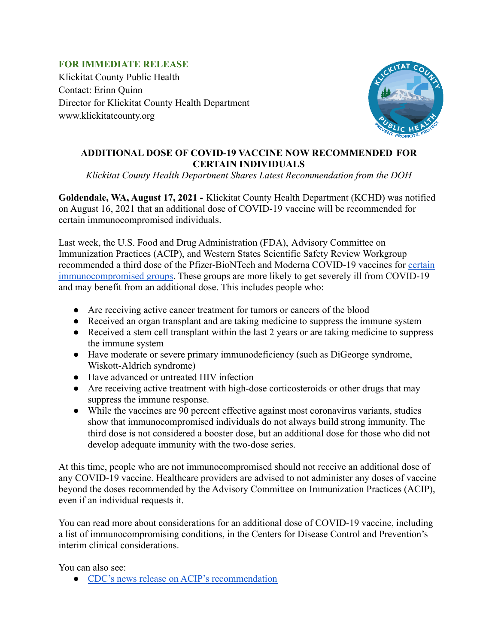## **FOR IMMEDIATE RELEASE**

Klickitat County Public Health Contact: Erinn Quinn Director for Klickitat County Health Department www.klickitatcounty.org



## **ADDITIONAL DOSE OF COVID-19 VACCINE NOW RECOMMENDED FOR CERTAIN INDIVIDUALS**

*Klickitat County Health Department Shares Latest Recommendation from the DOH*

**Goldendale, WA, August 17, 2021 -** Klickitat County Health Department (KCHD) was notified on August 16, 2021 that an additional dose of COVID-19 vaccine will be recommended for certain immunocompromised individuals.

Last week, the U.S. Food and Drug Administration (FDA), Advisory Committee on Immunization Practices (ACIP), and Western States Scientific Safety Review Workgroup recommended a third dose of the Pfizer-BioNTech and Moderna COVID-19 vaccines for [certain](https://lnks.gd/l/eyJhbGciOiJIUzI1NiJ9.eyJidWxsZXRpbl9saW5rX2lkIjoxMDAsInVyaSI6ImJwMjpjbGljayIsImJ1bGxldGluX2lkIjoiMjAyMTA4MTYuNDQ2MzAyMDEiLCJ1cmwiOiJodHRwczovL3d3dy5jZGMuZ292L2Nvcm9uYXZpcnVzLzIwMTktbmNvdi92YWNjaW5lcy9yZWNvbW1lbmRhdGlvbnMvaW1tdW5vLmh0bWwifQ.7xIgEWW_ckiuKlimPDfJgxgmEWcvYh6OowEb4L-0P6s/s/1128305715/br/110983122317-l) [immunocompromised groups.](https://lnks.gd/l/eyJhbGciOiJIUzI1NiJ9.eyJidWxsZXRpbl9saW5rX2lkIjoxMDAsInVyaSI6ImJwMjpjbGljayIsImJ1bGxldGluX2lkIjoiMjAyMTA4MTYuNDQ2MzAyMDEiLCJ1cmwiOiJodHRwczovL3d3dy5jZGMuZ292L2Nvcm9uYXZpcnVzLzIwMTktbmNvdi92YWNjaW5lcy9yZWNvbW1lbmRhdGlvbnMvaW1tdW5vLmh0bWwifQ.7xIgEWW_ckiuKlimPDfJgxgmEWcvYh6OowEb4L-0P6s/s/1128305715/br/110983122317-l) These groups are more likely to get severely ill from COVID-19 and may benefit from an additional dose. This includes people who:

- Are receiving active cancer treatment for tumors or cancers of the blood
- Received an organ transplant and are taking medicine to suppress the immune system
- Received a stem cell transplant within the last 2 years or are taking medicine to suppress the immune system
- Have moderate or severe primary immunodeficiency (such as DiGeorge syndrome, Wiskott-Aldrich syndrome)
- Have advanced or untreated HIV infection
- Are receiving active treatment with high-dose corticosteroids or other drugs that may suppress the immune response.
- While the vaccines are 90 percent effective against most coronavirus variants, studies show that immunocompromised individuals do not always build strong immunity. The third dose is not considered a booster dose, but an additional dose for those who did not develop adequate immunity with the two-dose series.

At this time, people who are not immunocompromised should not receive an additional dose of any COVID-19 vaccine. Healthcare providers are advised to not administer any doses of vaccine beyond the doses recommended by the Advisory Committee on Immunization Practices (ACIP), even if an individual requests it.

You can read more about considerations for an additional dose of COVID-19 vaccine, including a list of immunocompromising conditions, in the Centers for Disease Control and Prevention's interim clinical considerations.

You can also see:

● [CDC's news release on ACIP's recommendation](https://lnks.gd/l/eyJhbGciOiJIUzI1NiJ9.eyJidWxsZXRpbl9saW5rX2lkIjoxMDMsInVyaSI6ImJwMjpjbGljayIsImJ1bGxldGluX2lkIjoiMjAyMTA4MTYuNDQ2MzAyMDEiLCJ1cmwiOiJodHRwczovL3d3dy5jZGMuZ292L21lZGlhL3JlbGVhc2VzLzIwMjEvczA4MTMtYWRkaXRpb25hbC1tUk5BLW1ybmEtZG9zZS5odG1sIn0.zF7QjeLGlz6_afReul9y0jRF15kelHRbaOijsPm38jg/s/1128305715/br/110983122317-l)